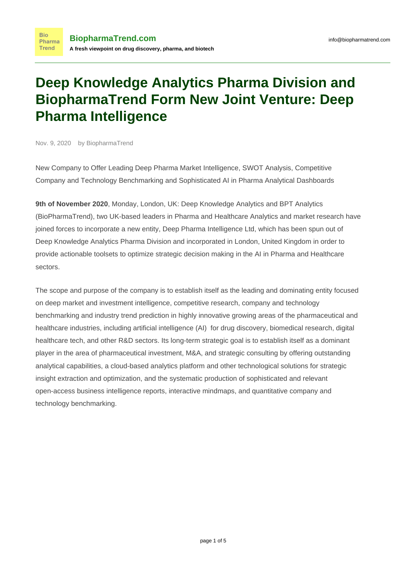# **Deep Knowledge Analytics Pharma Division and BiopharmaTrend Form New Joint Venture: Deep Pharma Intelligence**

Nov. 9, 2020 by BiopharmaTrend

**Bio** 

**Trend** 

New Company to Offer Leading Deep Pharma Market Intelligence, SWOT Analysis, Competitive Company and Technology Benchmarking and Sophisticated AI in Pharma Analytical Dashboards

**9th of November 2020**, Monday, London, UK: [Deep Knowledge Analytics](https://dka.global/) and [BPT Analytics](https://www.biopharmatrend.com/m/intelligence-platform/) (BioPharmaTrend), two UK-based leaders in Pharma and Healthcare Analytics and market research have joined forces to incorporate a new entity, Deep Pharma Intelligence Ltd, which has been spun out of [Deep Knowledge Analytics Pharma Division](https://ai-pharma.dka.global/) and incorporated in London, United Kingdom in order to provide actionable toolsets to optimize strategic decision making in the AI in Pharma and Healthcare sectors.

The scope and purpose of the company is to establish itself as the leading and dominating entity focused on deep market and investment intelligence, competitive research, company and technology benchmarking and industry trend prediction in highly innovative growing areas of the pharmaceutical and healthcare industries, including artificial intelligence (AI) for drug discovery, biomedical research, digital healthcare tech, and other R&D sectors. Its long-term strategic goal is to establish itself as a dominant player in the area of pharmaceutical investment, M&A, and strategic consulting by offering outstanding analytical capabilities, a cloud-based analytics platform and other technological solutions for strategic insight extraction and optimization, and the systematic production of sophisticated and relevant open-access business intelligence reports, interactive mindmaps, and quantitative company and technology benchmarking.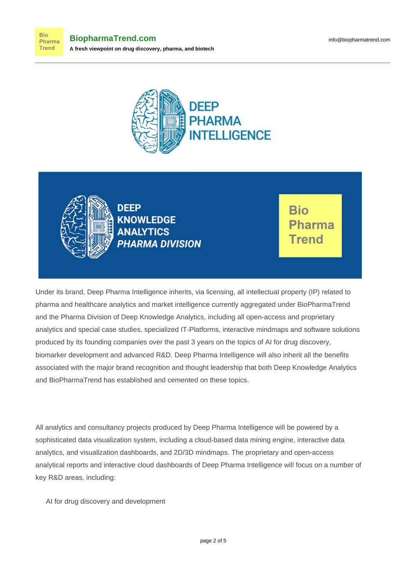



**Bio** Pharma **Trend** 

**DEEP KNOWLEDGE ANALYTICS PHARMA DIVISION** 

**Bio** Pharma Trend

Under its brand, [Deep Pharma Intelligence](https://www.deep-pharma.tech/) inherits, via licensing, all intellectual property (IP) related to pharma and healthcare analytics and market intelligence currently aggregated under BioPharmaTrend and the Pharma Division of Deep Knowledge Analytics, including all open-access and proprietary analytics and special case studies, specialized IT-Platforms, interactive mindmaps and software solutions produced by its founding companies over the past 3 years on the topics of AI for drug discovery, biomarker development and advanced R&D. Deep Pharma Intelligence will also inherit all the benefits associated with the major brand recognition and thought leadership that both Deep Knowledge Analytics and BioPharmaTrend has established and cemented on these topics.

All analytics and consultancy projects produced by Deep Pharma Intelligence will be powered by a sophisticated data visualization system, including a cloud-based data mining engine, interactive data analytics, and visualization dashboards, and 2D/3D mindmaps. The proprietary and open-access analytical reports and interactive cloud dashboards of Deep Pharma Intelligence will focus on a number of key R&D areas, including:

AI for drug discovery and development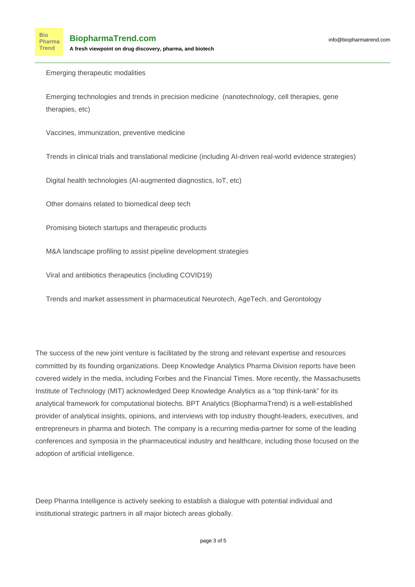Emerging therapeutic modalities

Emerging technologies and trends in precision medicine (nanotechnology, cell therapies, gene therapies, etc)

Vaccines, immunization, preventive medicine

Trends in clinical trials and translational medicine (including AI-driven real-world evidence strategies)

Digital health technologies (AI-augmented diagnostics, IoT, etc)

Other domains related to biomedical deep tech

Promising biotech startups and therapeutic products

M&A landscape profiling to assist pipeline development strategies

Viral and antibiotics therapeutics (including COVID19)

Trends and market assessment in pharmaceutical Neurotech, AgeTech, and Gerontology

The success of the new joint venture is facilitated by the strong and relevant expertise and resources committed by its founding organizations. Deep Knowledge Analytics Pharma Division reports have been covered widely in the media, including Forbes and the Financial Times. More recently, the Massachusetts Institute of Technology (MIT) acknowledged Deep Knowledge Analytics as a "top think-tank" for its analytical framework for computational biotechs. BPT Analytics (BiopharmaTrend) is a well-established provider of analytical insights, opinions, and interviews with top industry thought-leaders, executives, and entrepreneurs in pharma and biotech. The company is a recurring media-partner for some of the leading conferences and symposia in the pharmaceutical industry and healthcare, including those focused on the adoption of artificial intelligence.

Deep Pharma Intelligence is actively seeking to establish a dialogue with potential individual and institutional strategic partners in all major biotech areas globally.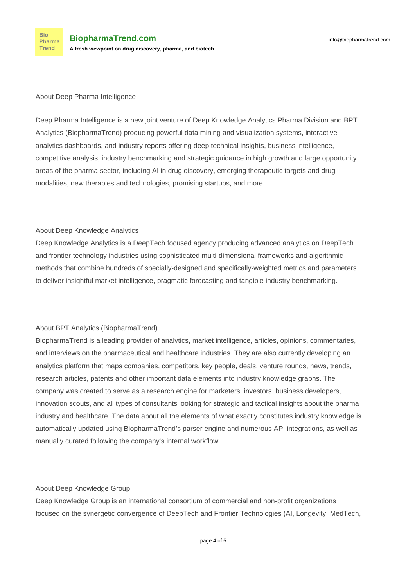### About Deep Pharma Intelligence

[Deep Pharma Intelligence](https://www.deep-pharma.tech/) is a new joint venture of Deep Knowledge Analytics Pharma Division and BPT Analytics (BiopharmaTrend) producing powerful data mining and visualization systems, interactive analytics dashboards, and industry reports offering deep technical insights, business intelligence, competitive analysis, industry benchmarking and strategic guidance in high growth and large opportunity areas of the pharma sector, including AI in drug discovery, emerging therapeutic targets and drug modalities, new therapies and technologies, promising startups, and more.

### About Deep Knowledge Analytics

[Deep Knowledge Analytics](https://dka.global/) is a DeepTech focused agency producing advanced analytics on DeepTech and frontier-technology industries using sophisticated multi-dimensional frameworks and algorithmic methods that combine hundreds of specially-designed and specifically-weighted metrics and parameters to deliver insightful market intelligence, pragmatic forecasting and tangible industry benchmarking.

## About BPT Analytics (BiopharmaTrend)

[BiopharmaTrend](https://www.biopharmatrend.com/) is a leading provider of analytics, market intelligence, articles, opinions, commentaries, and interviews on the pharmaceutical and healthcare industries. They are also currently developing an analytics platform that maps companies, competitors, key people, deals, venture rounds, news, trends, research articles, patents and other important data elements into industry knowledge graphs. The company was created to serve as a research engine for marketers, investors, business developers, innovation scouts, and all types of consultants looking for strategic and tactical insights about the pharma industry and healthcare. The data about all the elements of what exactly constitutes industry knowledge is automatically updated using BiopharmaTrend's parser engine and numerous API integrations, as well as manually curated following the company's internal workflow.

#### About Deep Knowledge Group

[Deep Knowledge Group](https://www.dkv.global/) is an international consortium of commercial and non-profit organizations focused on the synergetic convergence of DeepTech and Frontier Technologies (AI, Longevity, MedTech,